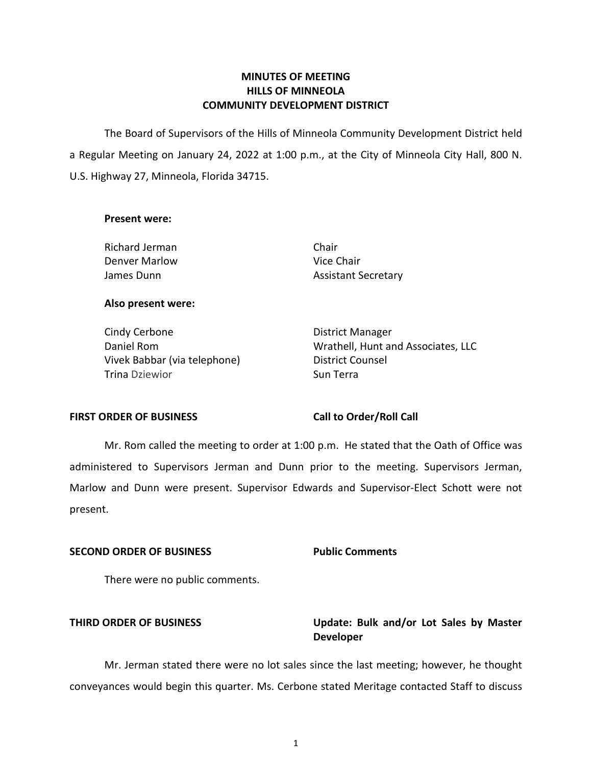# **MINUTES OF MEETING HILLS OF MINNEOLA COMMUNITY DEVELOPMENT DISTRICT**

 The Board of Supervisors of the Hills of Minneola Community Development District held a Regular Meeting on January 24, 2022 at 1:00 p.m., at the City of Minneola City Hall, 800 N. U.S. Highway 27, Minneola, Florida 34715.

### **Present were:**

Richard Jerman Chair Denver Marlow Nice Chair

James Dunn **Assistant Secretary** 

### **Also present were:**

Cindy Cerbone **District Manager** Vivek Babbar (via telephone) District Counsel Trina Dziewior **Sun Terra** 

Daniel Rom **Network** Controller Montana Wrathell, Hunt and Associates, LLC

# FIRST ORDER OF BUSINESS Call to Order/Roll Call

 Mr. Rom called the meeting to order at 1:00 p.m. He stated that the Oath of Office was administered to Supervisors Jerman and Dunn prior to the meeting. Supervisors Jerman, Marlow and Dunn were present. Supervisor Edwards and Supervisor-Elect Schott were not present.

### **SECOND ORDER OF BUSINESS Public Comments**

There were no public comments.

# **THIRD ORDER OF BUSINESS Update: Bulk and/or Lot Sales by Master Developer**

Mr. Jerman stated there were no lot sales since the last meeting; however, he thought conveyances would begin this quarter. Ms. Cerbone stated Meritage contacted Staff to discuss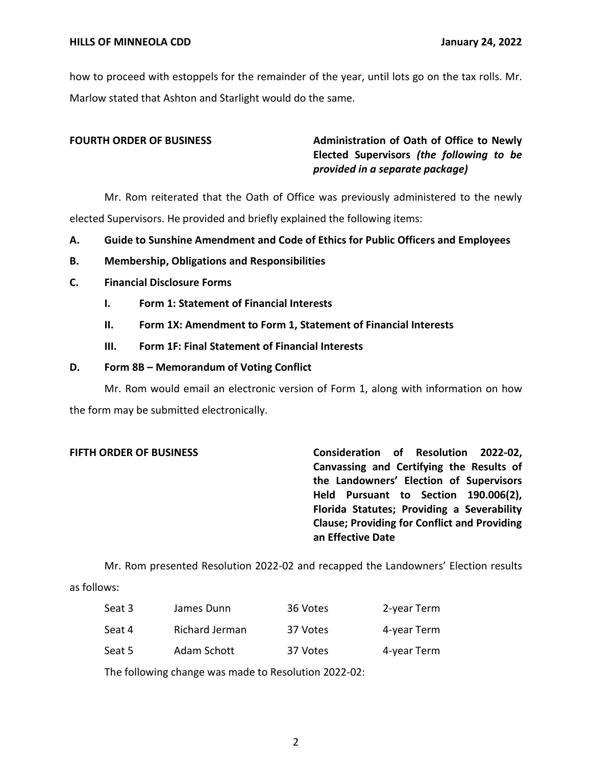how to proceed with estoppels for the remainder of the year, until lots go on the tax rolls. Mr. Marlow stated that Ashton and Starlight would do the same.

**FOURTH ORDER OF BUSINESS** Administration of Oath of Office to Newly  **Elected Supervisors** *(the following to be provided in a separate package)* 

Mr. Rom reiterated that the Oath of Office was previously administered to the newly elected Supervisors. He provided and briefly explained the following items:

- **A. Guide to Sunshine Amendment and Code of Ethics for Public Officers and Employees**
- **B. Membership, Obligations and Responsibilities**
- **C. Financial Disclosure Forms** 
	- **I. Form 1: Statement of Financial Interests**
	- **II. Form 1X: Amendment to Form 1, Statement of Financial Interests**
	- **III. Form 1F: Final Statement of Financial Interests**

### **D. Form 8B – Memorandum of Voting Conflict**

Mr. Rom would email an electronic version of Form 1, along with information on how the form may be submitted electronically.

 **Canvassing and Certifying the Results of the Landowners' Election of Supervisors Held Pursuant to Section 190.006(2), Florida Statutes; Providing a Severability Clause; Providing for Conflict and Providing FIFTH ORDER OF BUSINESS Consideration of Resolution 2022-02, an Effective Date** 

Mr. Rom presented Resolution 2022-02 and recapped the Landowners' Election results as follows:

| Seat 3 | James Dunn     | 36 Votes | 2-year Term |
|--------|----------------|----------|-------------|
| Seat 4 | Richard Jerman | 37 Votes | 4-year Term |
| Seat 5 | Adam Schott    | 37 Votes | 4-year Term |

The following change was made to Resolution 2022-02: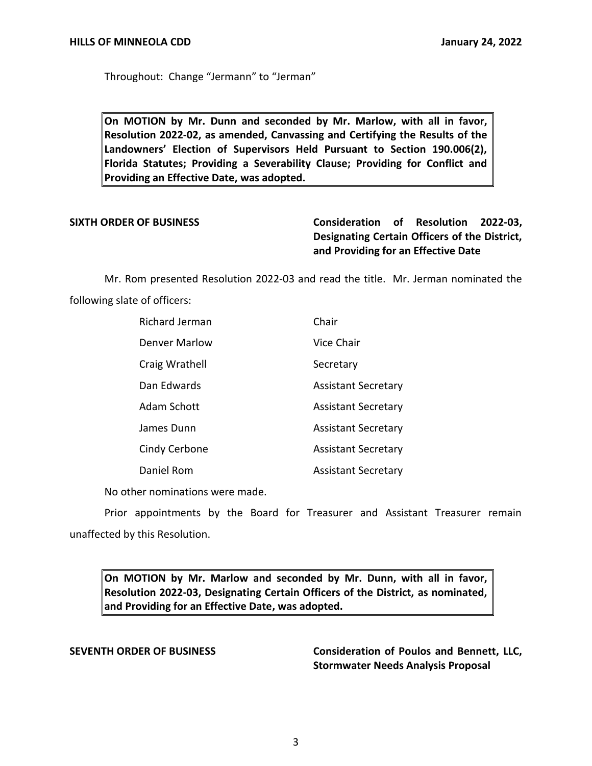Throughout: Change "Jermann" to "Jerman"

 **On MOTION by Mr. Dunn and seconded by Mr. Marlow, with all in favor, Resolution 2022-02, as amended, Canvassing and Certifying the Results of the Landowners' Election of Supervisors Held Pursuant to Section 190.006(2), Florida Statutes; Providing a Severability Clause; Providing for Conflict and Providing an Effective Date, was adopted.** 

# **Designating Certain Officers of the District, and Providing for an Effective Date SIXTH ORDER OF BUSINESS Consideration of Resolution 2022-03,**

 Mr. Rom presented Resolution 2022-03 and read the title. Mr. Jerman nominated the following slate of officers:

| Richard Jerman       | Chair                      |
|----------------------|----------------------------|
| <b>Denver Marlow</b> | Vice Chair                 |
| Craig Wrathell       | Secretary                  |
| Dan Edwards          | <b>Assistant Secretary</b> |
| Adam Schott          | <b>Assistant Secretary</b> |
| James Dunn           | <b>Assistant Secretary</b> |
| Cindy Cerbone        | <b>Assistant Secretary</b> |
| Daniel Rom           | <b>Assistant Secretary</b> |

No other nominations were made.

 Prior appointments by the Board for Treasurer and Assistant Treasurer remain unaffected by this Resolution.

 **On MOTION by Mr. Marlow and seconded by Mr. Dunn, with all in favor, Resolution 2022-03, Designating Certain Officers of the District, as nominated, and Providing for an Effective Date, was adopted.** 

SEVENTH ORDER OF BUSINESS **Consideration of Poulos and Bennett, LLC, Stormwater Needs Analysis Proposal**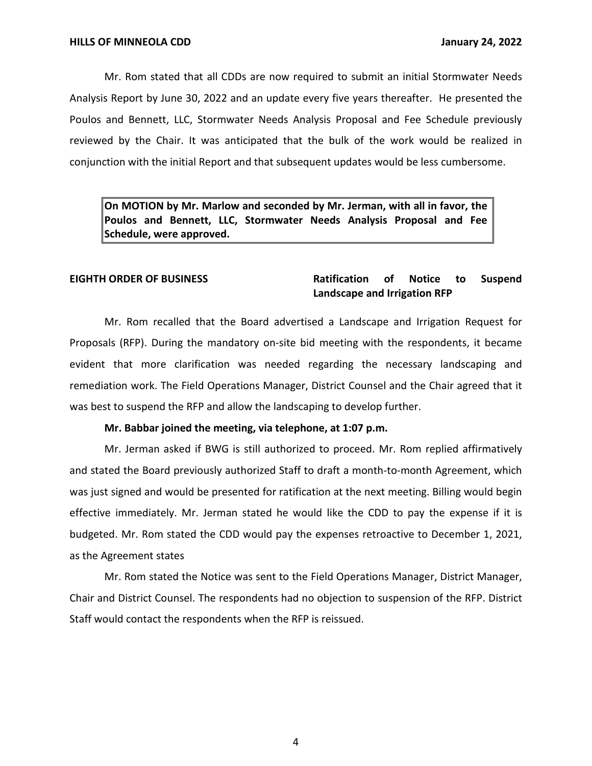Poulos and Bennett, LLC, Stormwater Needs Analysis Proposal and Fee Schedule previously Mr. Rom stated that all CDDs are now required to submit an initial Stormwater Needs Analysis Report by June 30, 2022 and an update every five years thereafter. He presented the reviewed by the Chair. It was anticipated that the bulk of the work would be realized in conjunction with the initial Report and that subsequent updates would be less cumbersome.

 **On MOTION by Mr. Marlow and seconded by Mr. Jerman, with all in favor, the Poulos and Bennett, LLC, Stormwater Needs Analysis Proposal and Fee Schedule, were approved.** 

### **Landscape and Irrigation RFP EIGHTH ORDER OF BUSINESS Ratification of Notice to Suspend**

Mr. Rom recalled that the Board advertised a Landscape and Irrigation Request for Proposals (RFP). During the mandatory on-site bid meeting with the respondents, it became evident that more clarification was needed regarding the necessary landscaping and remediation work. The Field Operations Manager, District Counsel and the Chair agreed that it was best to suspend the RFP and allow the landscaping to develop further.

### **Mr. Babbar joined the meeting, via telephone, at 1:07 p.m.**

Mr. Jerman asked if BWG is still authorized to proceed. Mr. Rom replied affirmatively and stated the Board previously authorized Staff to draft a month-to-month Agreement, which was just signed and would be presented for ratification at the next meeting. Billing would begin effective immediately. Mr. Jerman stated he would like the CDD to pay the expense if it is budgeted. Mr. Rom stated the CDD would pay the expenses retroactive to December 1, 2021, as the Agreement states

Mr. Rom stated the Notice was sent to the Field Operations Manager, District Manager, Chair and District Counsel. The respondents had no objection to suspension of the RFP. District Staff would contact the respondents when the RFP is reissued.

4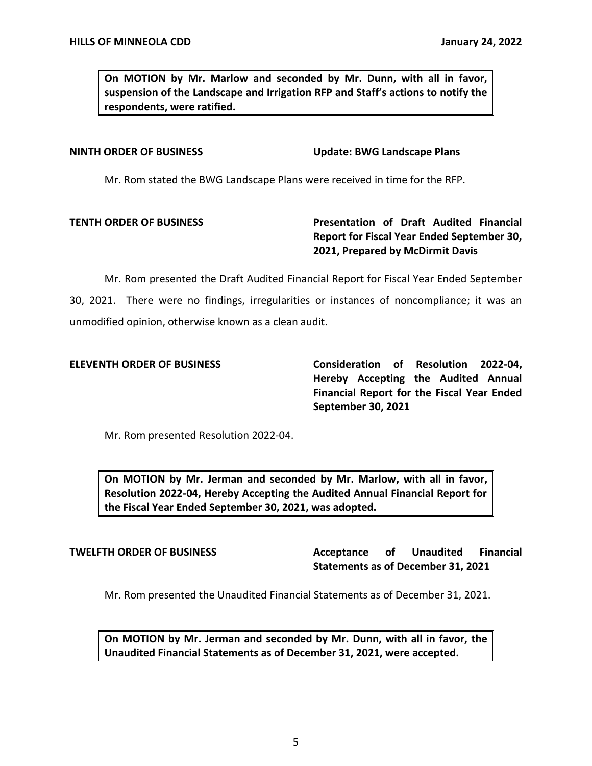**On MOTION by Mr. Marlow and seconded by Mr. Dunn, with all in favor, suspension of the Landscape and Irrigation RFP and Staff's actions to notify the respondents, were ratified.** 

**NINTH ORDER OF BUSINESS** Update: BWG Landscape Plans

Mr. Rom stated the BWG Landscape Plans were received in time for the RFP.

# **TENTH ORDER OF BUSINESS TENTH ORDER OF BUSINESS Presentation of Draft Audited Financial Report for Fiscal Year Ended September 30, 2021, Prepared by McDirmit Davis**

 Mr. Rom presented the Draft Audited Financial Report for Fiscal Year Ended September 30, 2021. There were no findings, irregularities or instances of noncompliance; it was an unmodified opinion, otherwise known as a clean audit.

 **Hereby Accepting the Audited Annual Financial Report for the Fiscal Year Ended ELEVENTH ORDER OF BUSINESS Consideration of Resolution 2022-04, September 30, 2021** 

Mr. Rom presented Resolution 2022-04.

 **On MOTION by Mr. Jerman and seconded by Mr. Marlow, with all in favor, Resolution 2022-04, Hereby Accepting the Audited Annual Financial Report for the Fiscal Year Ended September 30, 2021, was adopted.** 

### **Acceptance Statements as of December 31, 2021 TWELFTH ORDER OF BUSINESS Acceptance of Unaudited Financial**

Mr. Rom presented the Unaudited Financial Statements as of December 31, 2021.

 **On MOTION by Mr. Jerman and seconded by Mr. Dunn, with all in favor, the Unaudited Financial Statements as of December 31, 2021, were accepted.**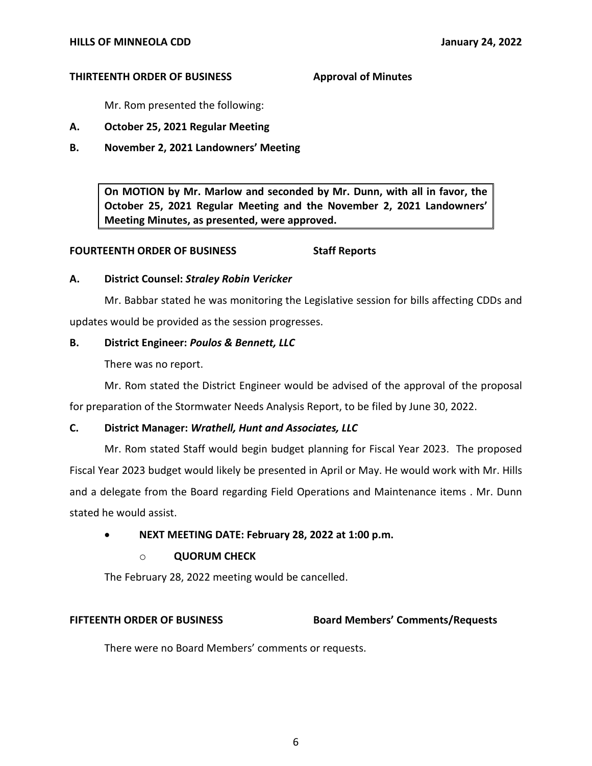### **THIRTEENTH ORDER OF BUSINESS Approval of Minutes**

Mr. Rom presented the following:

- **A. October 25, 2021 Regular Meeting**
- **B. November 2, 2021 Landowners' Meeting**

 **On MOTION by Mr. Marlow and seconded by Mr. Dunn, with all in favor, the October 25, 2021 Regular Meeting and the November 2, 2021 Landowners' Meeting Minutes, as presented, were approved.** 

### **FOURTEENTH ORDER OF BUSINESS Staff Reports**

# **A. District Counsel:** *Straley Robin Vericker*

Mr. Babbar stated he was monitoring the Legislative session for bills affecting CDDs and updates would be provided as the session progresses.

# **B. District Engineer:** *Poulos & Bennett, LLC*

There was no report.

Mr. Rom stated the District Engineer would be advised of the approval of the proposal for preparation of the Stormwater Needs Analysis Report, to be filed by June 30, 2022.

# **C. District Manager:** *Wrathell, Hunt and Associates, LLC*

Mr. Rom stated Staff would begin budget planning for Fiscal Year 2023. The proposed Fiscal Year 2023 budget would likely be presented in April or May. He would work with Mr. Hills and a delegate from the Board regarding Field Operations and Maintenance items . Mr. Dunn stated he would assist.

# • **NEXT MEETING DATE: February 28, 2022 at 1:00 p.m.**

# o **QUORUM CHECK**

The February 28, 2022 meeting would be cancelled.

# **FIFTEENTH ORDER OF BUSINESS Board Members' Comments/Requests**

There were no Board Members' comments or requests.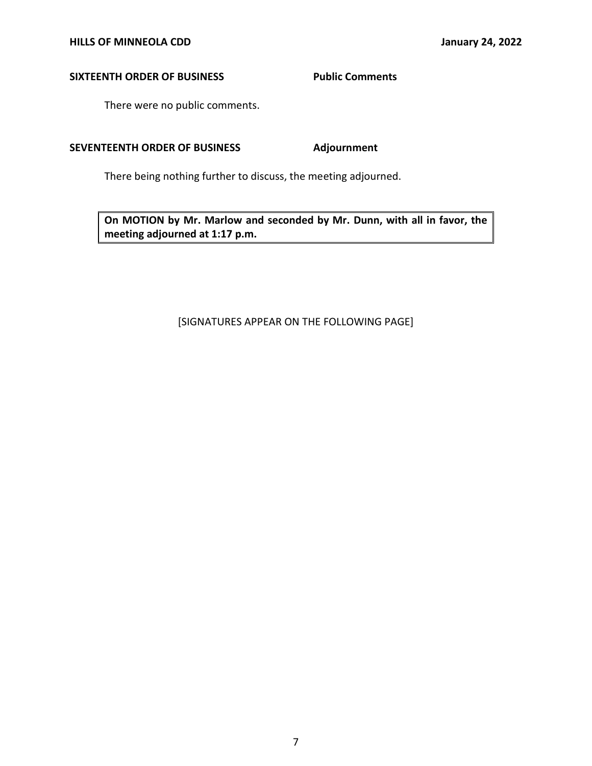# **SIXTEENTH ORDER OF BUSINESS Public Comments**

There were no public comments.

# SEVENTEENTH ORDER OF BUSINESS Adjournment

There being nothing further to discuss, the meeting adjourned.

 **On MOTION by Mr. Marlow and seconded by Mr. Dunn, with all in favor, the meeting adjourned at 1:17 p.m.** 

# [SIGNATURES APPEAR ON THE FOLLOWING PAGE]